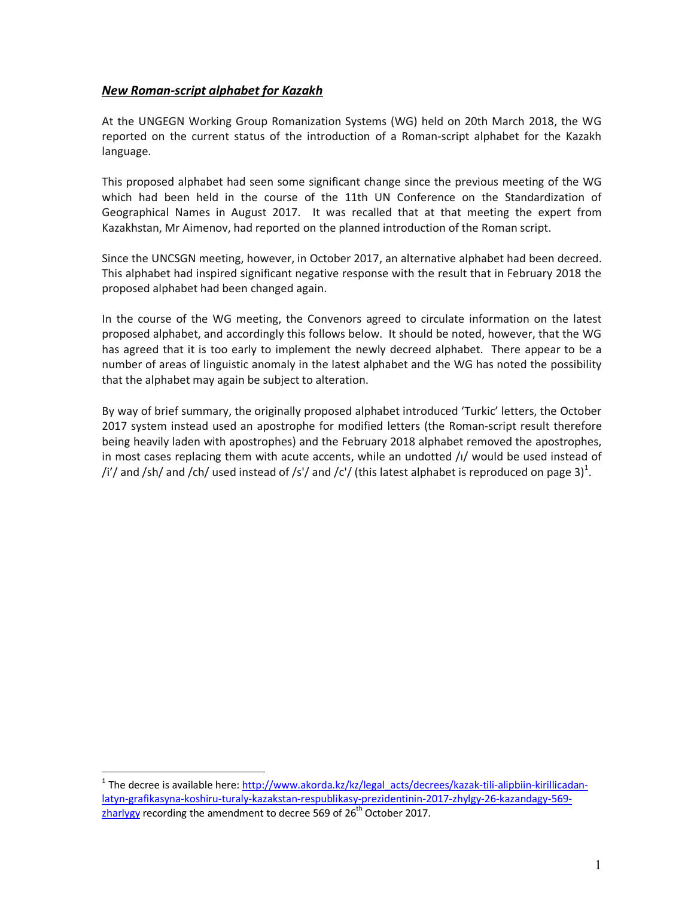## *New Roman-script alphabet for Kazakh*

l.

At the UNGEGN Working Group Romanization Systems (WG) held on 20th March 2018, the WG reported on the current status of the introduction of a Roman-script alphabet for the Kazakh language.

This proposed alphabet had seen some significant change since the previous meeting of the WG which had been held in the course of the 11th UN Conference on the Standardization of Geographical Names in August 2017. It was recalled that at that meeting the expert from Kazakhstan, Mr Aimenov, had reported on the planned introduction of the Roman script.

Since the UNCSGN meeting, however, in October 2017, an alternative alphabet had been decreed. This alphabet had inspired significant negative response with the result that in February 2018 the proposed alphabet had been changed again.

In the course of the WG meeting, the Convenors agreed to circulate information on the latest proposed alphabet, and accordingly this follows below. It should be noted, however, that the WG has agreed that it is too early to implement the newly decreed alphabet. There appear to be a number of areas of linguistic anomaly in the latest alphabet and the WG has noted the possibility that the alphabet may again be subject to alteration.

By way of brief summary, the originally proposed alphabet introduced 'Turkic' letters, the October 2017 system instead used an apostrophe for modified letters (the Roman-script result therefore being heavily laden with apostrophes) and the February 2018 alphabet removed the apostrophes, in most cases replacing them with acute accents, while an undotted  $/1/$  would be used instead of /i'/ and /sh/ and /ch/ used instead of /s'/ and /c'/ (this latest alphabet is reproduced on page 3)<sup>1</sup>.

<sup>&</sup>lt;sup>1</sup> The decree is available here: http://www.akorda.kz/kz/legal\_acts/decrees/kazak-tili-alipbiin-kirillicadanlatyn-grafikasyna-koshiru-turaly-kazakstan-respublikasy-prezidentinin-2017-zhylgy-26-kazandagy-569 zharlygy recording the amendment to decree 569 of  $26<sup>th</sup>$  October 2017.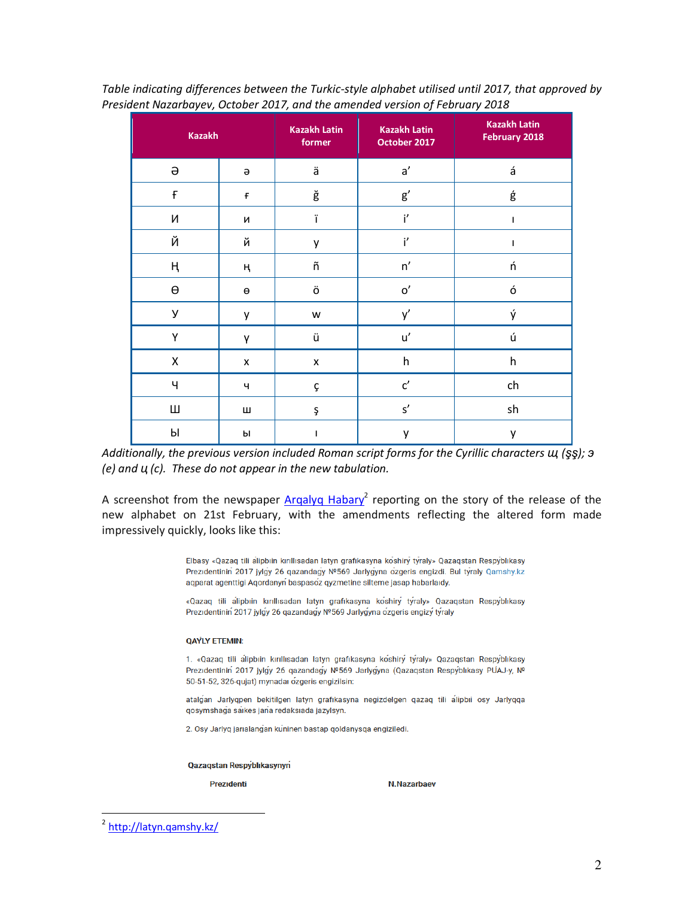| <b>Kazakh</b> |                       | <b>Kazakh Latin</b><br>former | <b>Kazakh Latin</b><br>October 2017 | <b>Kazakh Latin</b><br>February 2018 |
|---------------|-----------------------|-------------------------------|-------------------------------------|--------------------------------------|
| $\Theta$      | $\Theta$              | ä                             | a'                                  | á                                    |
| $\mathsf{f}$  | F                     | ğ                             | $\mathsf{g}'$                       | ģ                                    |
| N             | И                     | ï                             | i'                                  | I.                                   |
| Й             | й                     | y                             | i'                                  | ı                                    |
| ң             | ң                     | ñ                             | n'                                  | ń                                    |
| $\Theta$      | $\boldsymbol{\Theta}$ | ö                             | $\mathbf{o}'$                       | ó                                    |
| У             | у                     | W                             | y'                                  | ý                                    |
| Y             | γ                     | ü                             | u'                                  | ú                                    |
| X             | $\pmb{\mathsf{X}}$    | X                             | h                                   | h                                    |
| Ч             | Ч                     | Ç                             | $\mathsf{C}'$                       | ch                                   |
| Ш             | Ш                     | Ş                             | $\mathsf{s}'$                       | sh                                   |
| Ы             | Ы                     | L                             | y                                   | y                                    |

*Table indicating differences between the Turkic-style alphabet utilised until 2017, that approved by President Nazarbayev, October 2017, and the amended version of February 2018* 

*Additionally, the previous version included Roman script forms for the Cyrillic characters щ (şş); э (e) and ц (c). These do not appear in the new tabulation.* 

A screenshot from the newspaper **Argalyg Habary<sup>2</sup>** reporting on the story of the release of the new alphabet on 21st February, with the amendments reflecting the altered form made impressively quickly, looks like this:

> Elbasy «Qazaq tili alipbiin kırıllısadan latyn grafikasyna koshiry tyraly» Qazaqstan Respyblikasy Prezidentinin 2017 jylgy 26 qazandagy Nº569 Jarlygyna ozgeris engizdi. Bul tyraly Qamshy.kz aqparat agenttigi Aqordanyn baspasoz qyzmetine silteme jasap habarlaidy.

> «Qazaq tili alipbıin kırıllısadan latyn grafikasyna koshiry tyraly» Qazaqstan Respyblıkasy Prezidentinin 2017 jylgy 26 qazandagy №569 Jarlygyna ozgeris engizy tyraly

## **QAYLY ETEMIN:**

1. «Qazaq tili alipbiin kırıllısadan latyn grafikasyna koshiry tyraly» Qazaqstan Respyblikasy Prezidentinin 2017 jylgy 26 qazandagy Nº569 Jarlygyna (Qazaqstan Respyblikasy PUAJ-y, Nº 50-51-52, 326-qujat) mynadaı ozgeris engizilsin:

atalgan Jarlyqpen bekitilgen latyn grafıkasyna negizdelgen qazaq tili alipbii osy Jarlyqqa gosymshaga saikes jana redaksiada jazylsyn.

2. Osy Jarlyq jarıalangan kuninen bastap qoldanysqa engiziledi.

Qazaqstan Respyblikasynyn

Prezidenti

N.Nazarbaev

l.

<sup>&</sup>lt;sup>2</sup> http://latyn.qamshy.kz/